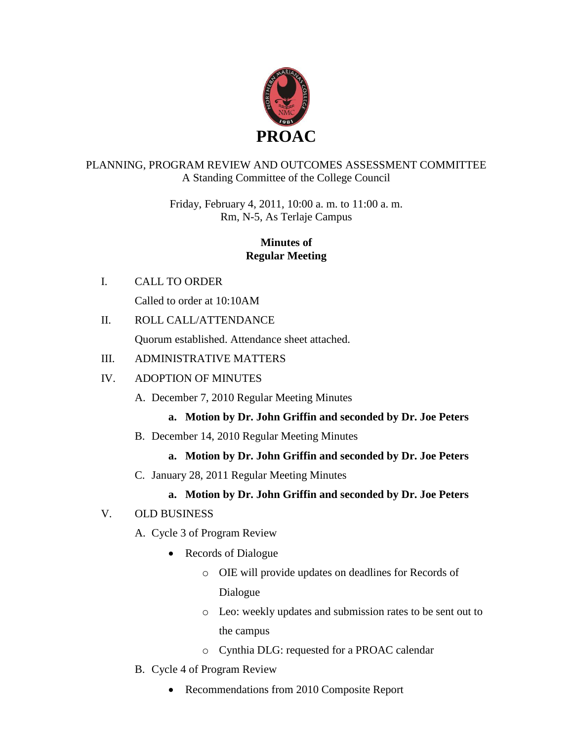

#### PLANNING, PROGRAM REVIEW AND OUTCOMES ASSESSMENT COMMITTEE A Standing Committee of the College Council

Friday, February 4, 2011, 10:00 a. m. to 11:00 a. m. Rm, N-5, As Terlaje Campus

#### **Minutes of Regular Meeting**

I. CALL TO ORDER

Called to order at 10:10AM

II. ROLL CALL/ATTENDANCE

Quorum established. Attendance sheet attached.

### III. ADMINISTRATIVE MATTERS

### IV. ADOPTION OF MINUTES

A. December 7, 2010 Regular Meeting Minutes

## **a. Motion by Dr. John Griffin and seconded by Dr. Joe Peters**

B. December 14, 2010 Regular Meeting Minutes

## **a. Motion by Dr. John Griffin and seconded by Dr. Joe Peters**

C. January 28, 2011 Regular Meeting Minutes

## **a. Motion by Dr. John Griffin and seconded by Dr. Joe Peters**

## V. OLD BUSINESS

- A. Cycle 3 of Program Review
	- Records of Dialogue
		- o OIE will provide updates on deadlines for Records of Dialogue
		- o Leo: weekly updates and submission rates to be sent out to the campus
		- o Cynthia DLG: requested for a PROAC calendar
- B. Cycle 4 of Program Review
	- Recommendations from 2010 Composite Report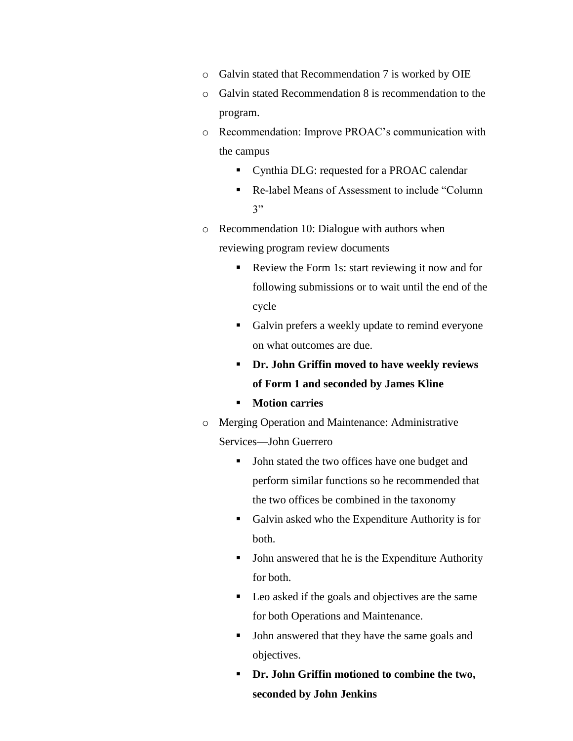- o Galvin stated that Recommendation 7 is worked by OIE
- o Galvin stated Recommendation 8 is recommendation to the program.
- o Recommendation: Improve PROAC's communication with the campus
	- **•** Cynthia DLG: requested for a PROAC calendar
	- Re-label Means of Assessment to include "Column 3"
- o Recommendation 10: Dialogue with authors when reviewing program review documents
	- Review the Form 1s: start reviewing it now and for following submissions or to wait until the end of the cycle
	- Galvin prefers a weekly update to remind everyone on what outcomes are due.
	- **Dr. John Griffin moved to have weekly reviews of Form 1 and seconded by James Kline**
	- **Motion carries**
- o Merging Operation and Maintenance: Administrative Services—John Guerrero
	- John stated the two offices have one budget and perform similar functions so he recommended that the two offices be combined in the taxonomy
	- Galvin asked who the Expenditure Authority is for both.
	- John answered that he is the Expenditure Authority for both.
	- Leo asked if the goals and objectives are the same for both Operations and Maintenance.
	- If John answered that they have the same goals and objectives.
	- **Dr. John Griffin motioned to combine the two, seconded by John Jenkins**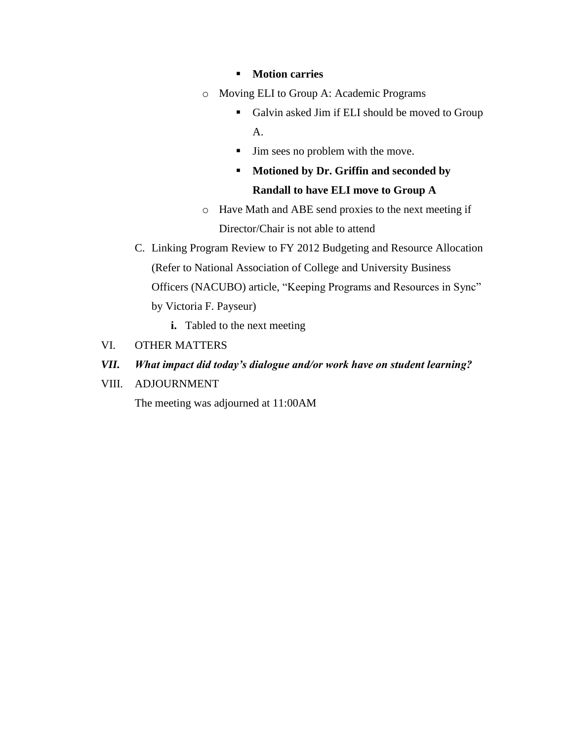- **Motion carries**
- o Moving ELI to Group A: Academic Programs
	- Galvin asked Jim if ELI should be moved to Group A.
	- If  $\blacksquare$  Jim sees no problem with the move.
	- **Motioned by Dr. Griffin and seconded by Randall to have ELI move to Group A**
- o Have Math and ABE send proxies to the next meeting if Director/Chair is not able to attend
- C. Linking Program Review to FY 2012 Budgeting and Resource Allocation (Refer to National Association of College and University Business Officers (NACUBO) article, "Keeping Programs and Resources in Sync" by Victoria F. Payseur)
	- **i.** Tabled to the next meeting
- VI. OTHER MATTERS
- *VII. What impact did today's dialogue and/or work have on student learning?*
- VIII. ADJOURNMENT

The meeting was adjourned at 11:00AM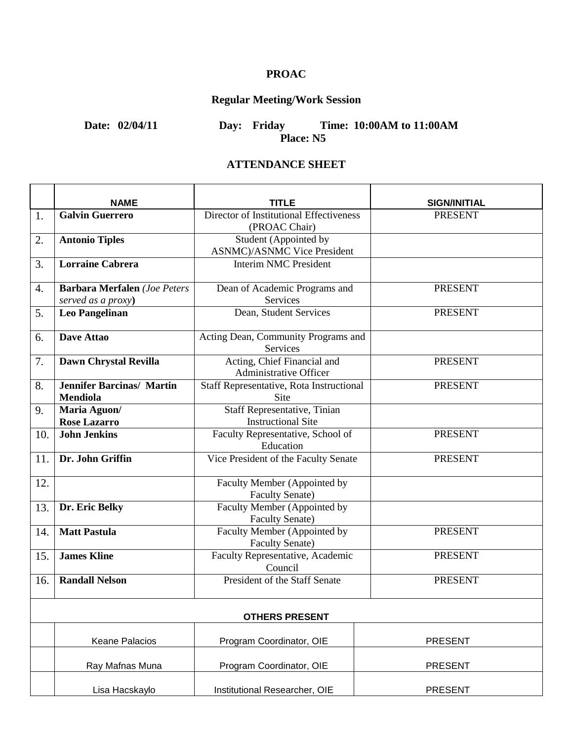## **PROAC**

# **Regular Meeting/Work Session**

**Date: 02/04/11 Day: Friday Time: 10:00AM to 11:00AM Place: N5**

#### **ATTENDANCE SHEET**

|     | <b>NAME</b>                                               | TITLE                                                        | <b>SIGN/INITIAL</b> |
|-----|-----------------------------------------------------------|--------------------------------------------------------------|---------------------|
| 1.  | <b>Galvin Guerrero</b>                                    | Director of Institutional Effectiveness<br>(PROAC Chair)     | <b>PRESENT</b>      |
| 2.  | <b>Antonio Tiples</b>                                     | Student (Appointed by<br><b>ASNMC</b> )/ASNMC Vice President |                     |
| 3.  | <b>Lorraine Cabrera</b>                                   | <b>Interim NMC President</b>                                 |                     |
| 4.  | <b>Barbara Merfalen</b> (Joe Peters<br>served as a proxy) | Dean of Academic Programs and<br>Services                    | <b>PRESENT</b>      |
| 5.  | <b>Leo Pangelinan</b>                                     | Dean, Student Services                                       | <b>PRESENT</b>      |
| 6.  | <b>Dave Attao</b>                                         | Acting Dean, Community Programs and<br>Services              |                     |
| 7.  | Dawn Chrystal Revilla                                     | Acting, Chief Financial and<br>Administrative Officer        | <b>PRESENT</b>      |
| 8.  | <b>Jennifer Barcinas/ Martin</b><br><b>Mendiola</b>       | Staff Representative, Rota Instructional<br><b>Site</b>      | <b>PRESENT</b>      |
| 9.  | Maria Aguon/<br><b>Rose Lazarro</b>                       | Staff Representative, Tinian<br><b>Instructional Site</b>    |                     |
| 10. | <b>John Jenkins</b>                                       | Faculty Representative, School of<br>Education               | <b>PRESENT</b>      |
| 11. | Dr. John Griffin                                          | Vice President of the Faculty Senate                         | <b>PRESENT</b>      |
| 12. |                                                           | Faculty Member (Appointed by<br><b>Faculty Senate)</b>       |                     |
| 13. | Dr. Eric Belky                                            | Faculty Member (Appointed by<br><b>Faculty Senate)</b>       |                     |
| 14. | <b>Matt Pastula</b>                                       | Faculty Member (Appointed by<br><b>Faculty Senate)</b>       | <b>PRESENT</b>      |
| 15. | <b>James Kline</b>                                        | Faculty Representative, Academic<br>Council                  | <b>PRESENT</b>      |
| 16. | <b>Randall Nelson</b>                                     | President of the Staff Senate                                | <b>PRESENT</b>      |
|     |                                                           | <b>OTHERS PRESENT</b>                                        |                     |
|     | Keane Palacios                                            | Program Coordinator, OIE                                     | <b>PRESENT</b>      |
|     | Ray Mafnas Muna                                           | Program Coordinator, OIE                                     | <b>PRESENT</b>      |
|     | Lisa Hacskaylo                                            | Institutional Researcher, OIE                                | <b>PRESENT</b>      |